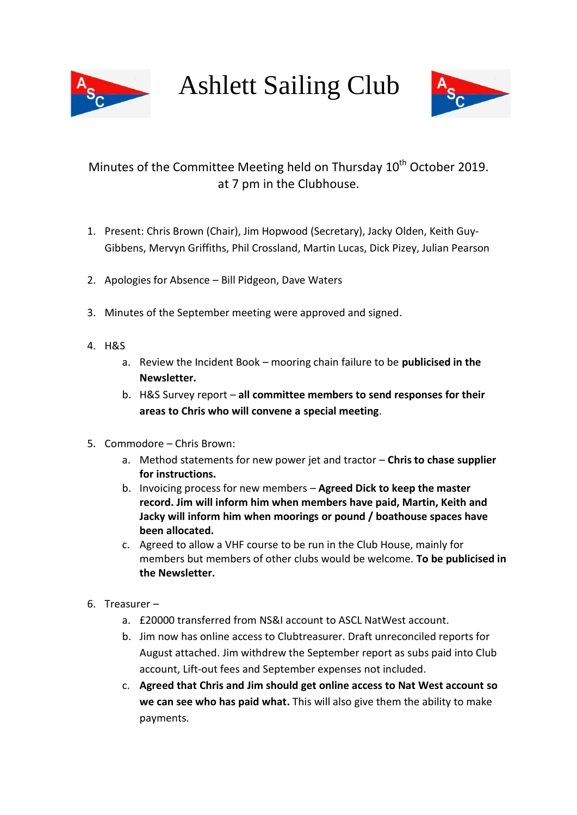

Ashlett Sailing Club



## Minutes of the Committee Meeting held on Thursday 10<sup>th</sup> October 2019. at 7 pm in the Clubhouse.

- 1. Present: Chris Brown (Chair), Jim Hopwood (Secretary), Jacky Olden, Keith Guy-Gibbens, Mervyn Griffiths, Phil Crossland, Martin Lucas, Dick Pizey, Julian Pearson
- 2. Apologies for Absence Bill Pidgeon, Dave Waters
- 3. Minutes of the September meeting were approved and signed.
- 4. H&S
	- a. Review the Incident Book mooring chain failure to be **publicised in the Newsletter.**
	- b. H&S Survey report **all committee members to send responses for their areas to Chris who will convene a special meeting**.
- 5. Commodore Chris Brown:
	- a. Method statements for new power jet and tractor **Chris to chase supplier for instructions.**
	- b. Invoicing process for new members **Agreed Dick to keep the master record. Jim will inform him when members have paid, Martin, Keith and Jacky will inform him when moorings or pound / boathouse spaces have been allocated.**
	- c. Agreed to allow a VHF course to be run in the Club House, mainly for members but members of other clubs would be welcome. **To be publicised in the Newsletter.**
- 6. Treasurer
	- a. £20000 transferred from NS&I account to ASCL NatWest account.
	- b. Jim now has online access to Clubtreasurer. Draft unreconciled reports for August attached. Jim withdrew the September report as subs paid into Club account, Lift-out fees and September expenses not included.
	- c. **Agreed that Chris and Jim should get online access to Nat West account so we can see who has paid what.** This will also give them the ability to make payments.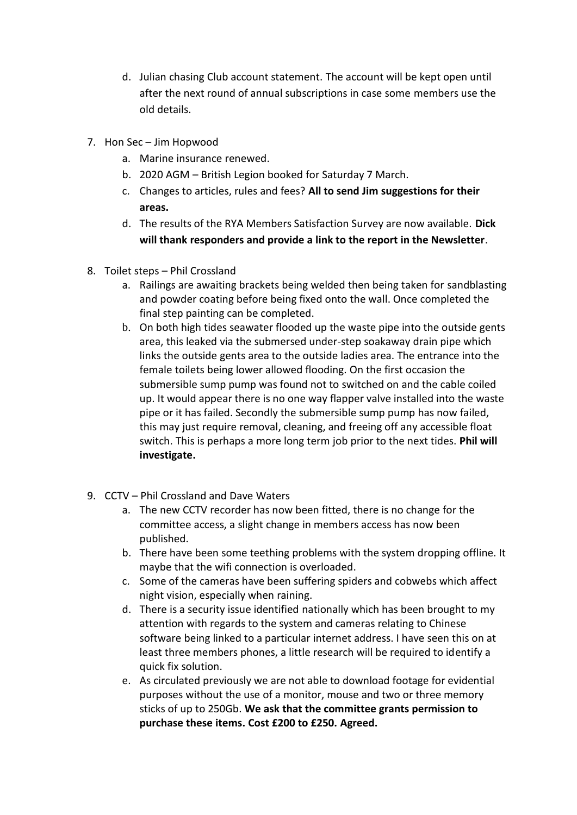- d. Julian chasing Club account statement. The account will be kept open until after the next round of annual subscriptions in case some members use the old details.
- 7. Hon Sec Jim Hopwood
	- a. Marine insurance renewed.
	- b. 2020 AGM British Legion booked for Saturday 7 March.
	- c. Changes to articles, rules and fees? **All to send Jim suggestions for their areas.**
	- d. The results of the RYA Members Satisfaction Survey are now available. **Dick will thank responders and provide a link to the report in the Newsletter**.
- 8. Toilet steps Phil Crossland
	- a. Railings are awaiting brackets being welded then being taken for sandblasting and powder coating before being fixed onto the wall. Once completed the final step painting can be completed.
	- b. On both high tides seawater flooded up the waste pipe into the outside gents area, this leaked via the submersed under-step soakaway drain pipe which links the outside gents area to the outside ladies area. The entrance into the female toilets being lower allowed flooding. On the first occasion the submersible sump pump was found not to switched on and the cable coiled up. It would appear there is no one way flapper valve installed into the waste pipe or it has failed. Secondly the submersible sump pump has now failed, this may just require removal, cleaning, and freeing off any accessible float switch. This is perhaps a more long term job prior to the next tides. **Phil will investigate.**
- 9. CCTV Phil Crossland and Dave Waters
	- a. The new CCTV recorder has now been fitted, there is no change for the committee access, a slight change in members access has now been published.
	- b. There have been some teething problems with the system dropping offline. It maybe that the wifi connection is overloaded.
	- c. Some of the cameras have been suffering spiders and cobwebs which affect night vision, especially when raining.
	- d. There is a security issue identified nationally which has been brought to my attention with regards to the system and cameras relating to Chinese software being linked to a particular internet address. I have seen this on at least three members phones, a little research will be required to identify a quick fix solution.
	- e. As circulated previously we are not able to download footage for evidential purposes without the use of a monitor, mouse and two or three memory sticks of up to 250Gb. **We ask that the committee grants permission to purchase these items. Cost £200 to £250. Agreed.**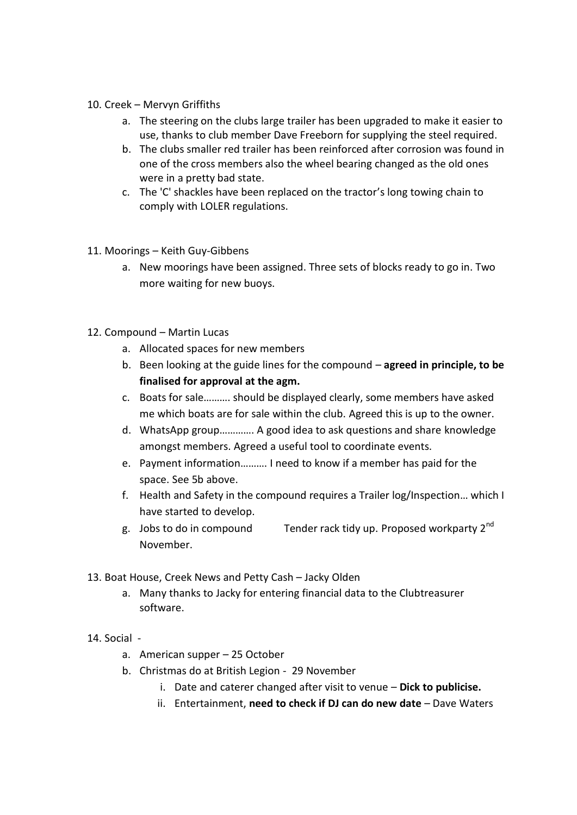- 10. Creek Mervyn Griffiths
	- a. The steering on the clubs large trailer has been upgraded to make it easier to use, thanks to club member Dave Freeborn for supplying the steel required.
	- b. The clubs smaller red trailer has been reinforced after corrosion was found in one of the cross members also the wheel bearing changed as the old ones were in a pretty bad state.
	- c. The 'C' shackles have been replaced on the tractor's long towing chain to comply with LOLER regulations.
- 11. Moorings Keith Guy-Gibbens
	- a. New moorings have been assigned. Three sets of blocks ready to go in. Two more waiting for new buoys.
- 12. Compound Martin Lucas
	- a. Allocated spaces for new members
	- b. Been looking at the guide lines for the compound **agreed in principle, to be finalised for approval at the agm.**
	- c. Boats for sale………. should be displayed clearly, some members have asked me which boats are for sale within the club. Agreed this is up to the owner.
	- d. WhatsApp group…………. A good idea to ask questions and share knowledge amongst members. Agreed a useful tool to coordinate events.
	- e. Payment information………. I need to know if a member has paid for the space. See 5b above.
	- f. Health and Safety in the compound requires a Trailer log/Inspection… which I have started to develop.
	- g. Jobs to do in compound Tender rack tidy up. Proposed workparty 2nd November.
- 13. Boat House, Creek News and Petty Cash Jacky Olden
	- a. Many thanks to Jacky for entering financial data to the Clubtreasurer software.
- 14. Social
	- a. American supper 25 October
	- b. Christmas do at British Legion 29 November
		- i. Date and caterer changed after visit to venue **Dick to publicise.**
		- ii. Entertainment, **need to check if DJ can do new date** Dave Waters